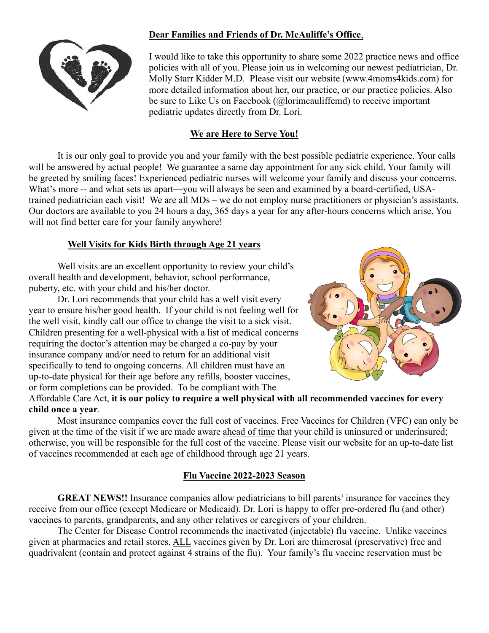## **Dear Families and Friends of Dr. McAuliffe's Office**,



I would like to take this opportunity to share some 2022 practice news and office policies with all of you. Please join us in welcoming our newest pediatrician, Dr. Molly Starr Kidder M.D. Please visit our website [\(www.4moms4kids.com\)](http://www.4moms4kids.com/) for more detailed information about her, our practice, or our practice policies. Also be sure to Like Us on Facebook (@lorimcauliffemd) to receive important pediatric updates directly from Dr. Lori.

## **We are Here to Serve You!**

It is our only goal to provide you and your family with the best possible pediatric experience. Your calls will be answered by actual people! We guarantee a same day appointment for any sick child. Your family will be greeted by smiling faces! Experienced pediatric nurses will welcome your family and discuss your concerns. What's more -- and what sets us apart—you will always be seen and examined by a board-certified, USAtrained pediatrician each visit! We are all MDs – we do not employ nurse practitioners or physician's assistants. Our doctors are available to you 24 hours a day, 365 days a year for any after-hours concerns which arise. You will not find better care for your family anywhere!

## **Well Visits for Kids Birth through Age 21 years**

Well visits are an excellent opportunity to review your child's overall health and development, behavior, school performance, puberty, etc. with your child and his/her doctor.

Dr. Lori recommends that your child has a well visit every year to ensure his/her good health. If your child is not feeling well for the well visit, kindly call our office to change the visit to a sick visit. Children presenting for a well-physical with a list of medical concerns requiring the doctor's attention may be charged a co-pay by your insurance company and/or need to return for an additional visit specifically to tend to ongoing concerns. All children must have an up-to-date physical for their age before any refills, booster vaccines, or form completions can be provided. To be compliant with The



## Affordable Care Act, **it is our policy to require a well physical with all recommended vaccines for every child once a year**.

Most insurance companies cover the full cost of vaccines. Free Vaccines for Children (VFC) can only be given at the time of the visit if we are made aware ahead of time that your child is uninsured or underinsured; otherwise, you will be responsible for the full cost of the vaccine. Please visit our website for an up-to-date list of vaccines recommended at each age of childhood through age 21 years.

## **Flu Vaccine 2022-2023 Season**

**GREAT NEWS!!** Insurance companies allow pediatricians to bill parents' insurance for vaccines they receive from our office (except Medicare or Medicaid). Dr. Lori is happy to offer pre-ordered flu (and other) vaccines to parents, grandparents, and any other relatives or caregivers of your children.

The Center for Disease Control recommends the inactivated (injectable) flu vaccine. Unlike vaccines given at pharmacies and retail stores, ALL vaccines given by Dr. Lori are thimerosal (preservative) free and quadrivalent (contain and protect against 4 strains of the flu). Your family's flu vaccine reservation must be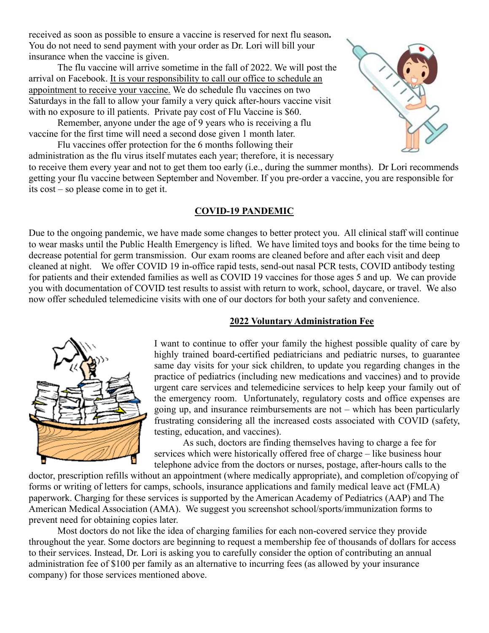received as soon as possible to ensure a vaccine is reserved for next flu season**.**  You do not need to send payment with your order as Dr. Lori will bill your insurance when the vaccine is given.

The flu vaccine will arrive sometime in the fall of 2022. We will post the arrival on Facebook. It is your responsibility to call our office to schedule an appointment to receive your vaccine. We do schedule flu vaccines on two Saturdays in the fall to allow your family a very quick after-hours vaccine visit with no exposure to ill patients. Private pay cost of Flu Vaccine is \$60.

Remember, anyone under the age of 9 years who is receiving a flu vaccine for the first time will need a second dose given 1 month later.

Flu vaccines offer protection for the 6 months following their administration as the flu virus itself mutates each year; therefore, it is necessary



to receive them every year and not to get them too early (i.e., during the summer months). Dr Lori recommends getting your flu vaccine between September and November. If you pre-order a vaccine, you are responsible for its cost – so please come in to get it.

#### **COVID-19 PANDEMIC**

Due to the ongoing pandemic, we have made some changes to better protect you. All clinical staff will continue to wear masks until the Public Health Emergency is lifted. We have limited toys and books for the time being to decrease potential for germ transmission. Our exam rooms are cleaned before and after each visit and deep cleaned at night. We offer COVID 19 in-office rapid tests, send-out nasal PCR tests, COVID antibody testing for patients and their extended families as well as COVID 19 vaccines for those ages 5 and up. We can provide you with documentation of COVID test results to assist with return to work, school, daycare, or travel. We also now offer scheduled telemedicine visits with one of our doctors for both your safety and convenience.



#### **2022 Voluntary Administration Fee**

I want to continue to offer your family the highest possible quality of care by highly trained board-certified pediatricians and pediatric nurses, to guarantee same day visits for your sick children, to update you regarding changes in the practice of pediatrics (including new medications and vaccines) and to provide urgent care services and telemedicine services to help keep your family out of the emergency room. Unfortunately, regulatory costs and office expenses are going up, and insurance reimbursements are not – which has been particularly frustrating considering all the increased costs associated with COVID (safety, testing, education, and vaccines).

As such, doctors are finding themselves having to charge a fee for services which were historically offered free of charge – like business hour telephone advice from the doctors or nurses, postage, after-hours calls to the

doctor, prescription refills without an appointment (where medically appropriate), and completion of/copying of forms or writing of letters for camps, schools, insurance applications and family medical leave act (FMLA) paperwork. Charging for these services is supported by the American Academy of Pediatrics (AAP) and The American Medical Association (AMA). We suggest you screenshot school/sports/immunization forms to prevent need for obtaining copies later.

Most doctors do not like the idea of charging families for each non-covered service they provide throughout the year. Some doctors are beginning to request a membership fee of thousands of dollars for access to their services. Instead, Dr. Lori is asking you to carefully consider the option of contributing an annual administration fee of \$100 per family as an alternative to incurring fees (as allowed by your insurance company) for those services mentioned above.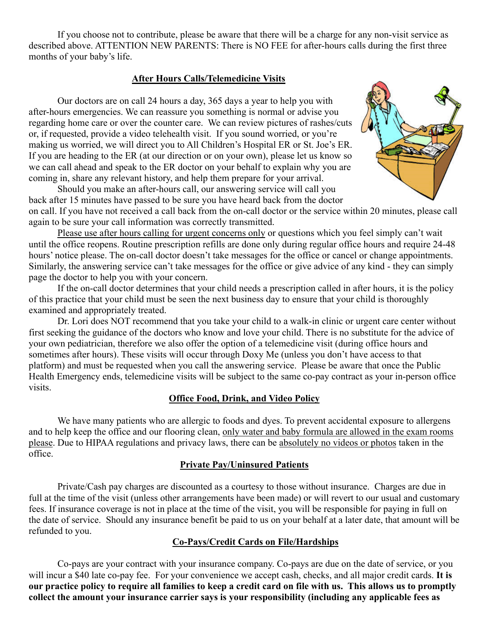If you choose not to contribute, please be aware that there will be a charge for any non-visit service as described above. ATTENTION NEW PARENTS: There is NO FEE for after-hours calls during the first three months of your baby's life.

#### **After Hours Calls/Telemedicine Visits**

Our doctors are on call 24 hours a day, 365 days a year to help you with after-hours emergencies. We can reassure you something is normal or advise you regarding home care or over the counter care. We can review pictures of rashes/cuts or, if requested, provide a video telehealth visit. If you sound worried, or you're making us worried, we will direct you to All Children's Hospital ER or St. Joe's ER. If you are heading to the ER (at our direction or on your own), please let us know so we can call ahead and speak to the ER doctor on your behalf to explain why you are coming in, share any relevant history, and help them prepare for your arrival.

Should you make an after-hours call, our answering service will call you back after 15 minutes have passed to be sure you have heard back from the doctor

on call. If you have not received a call back from the on-call doctor or the service within 20 minutes, please call again to be sure your call information was correctly transmitted.

Please use after hours calling for urgent concerns only or questions which you feel simply can't wait until the office reopens. Routine prescription refills are done only during regular office hours and require 24-48 hours' notice please. The on-call doctor doesn't take messages for the office or cancel or change appointments. Similarly, the answering service can't take messages for the office or give advice of any kind - they can simply page the doctor to help you with your concern.

If the on-call doctor determines that your child needs a prescription called in after hours, it is the policy of this practice that your child must be seen the next business day to ensure that your child is thoroughly examined and appropriately treated.

Dr. Lori does NOT recommend that you take your child to a walk-in clinic or urgent care center without first seeking the guidance of the doctors who know and love your child. There is no substitute for the advice of your own pediatrician, therefore we also offer the option of a telemedicine visit (during office hours and sometimes after hours). These visits will occur through Doxy Me (unless you don't have access to that platform) and must be requested when you call the answering service. Please be aware that once the Public Health Emergency ends, telemedicine visits will be subject to the same co-pay contract as your in-person office visits.

#### **Office Food, Drink, and Video Policy**

We have many patients who are allergic to foods and dyes. To prevent accidental exposure to allergens and to help keep the office and our flooring clean, only water and baby formula are allowed in the exam rooms please. Due to HIPAA regulations and privacy laws, there can be absolutely no videos or photos taken in the office.

#### **Private Pay/Uninsured Patients**

Private/Cash pay charges are discounted as a courtesy to those without insurance. Charges are due in full at the time of the visit (unless other arrangements have been made) or will revert to our usual and customary fees. If insurance coverage is not in place at the time of the visit, you will be responsible for paying in full on the date of service. Should any insurance benefit be paid to us on your behalf at a later date, that amount will be refunded to you.

#### **Co-Pays/Credit Cards on File/Hardships**

Co-pays are your contract with your insurance company. Co-pays are due on the date of service, or you will incur a \$40 late co-pay fee. For your convenience we accept cash, checks, and all major credit cards. **It is our practice policy to require all families to keep a credit card on file with us. This allows us to promptly collect the amount your insurance carrier says is your responsibility (including any applicable fees as**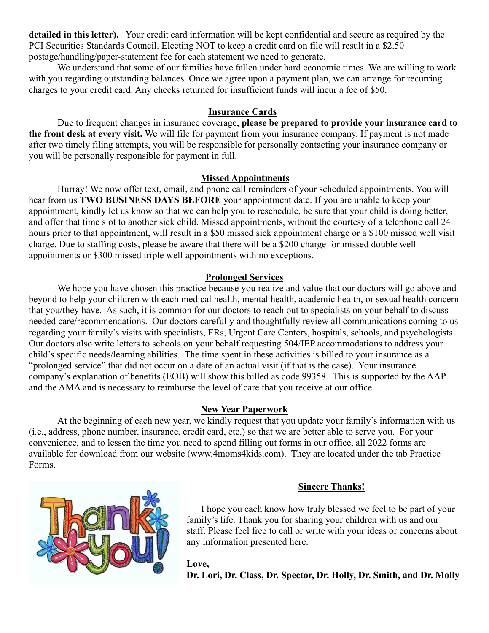**detailed in this letter).** Your credit card information will be kept confidential and secure as required by the PCI Securities Standards Council. Electing NOT to keep a credit card on file will result in a \$2.50 postage/handling/paper-statement fee for each statement we need to generate.

We understand that some of our families have fallen under hard economic times. We are willing to work with you regarding outstanding balances. Once we agree upon a payment plan, we can arrange for recurring charges to your credit card. Any checks returned for insufficient funds will incur a fee of \$50.

## **Insurance Cards**

Due to frequent changes in insurance coverage, **please be prepared to provide your insurance card to the front desk at every visit.** We will file for payment from your insurance company. If payment is not made after two timely filing attempts, you will be responsible for personally contacting your insurance company or you will be personally responsible for payment in full.

## **Missed Appointments**

Hurray! We now offer text, email, and phone call reminders of your scheduled appointments. You will hear from us **TWO BUSINESS DAYS BEFORE** your appointment date. If you are unable to keep your appointment, kindly let us know so that we can help you to reschedule, be sure that your child is doing better, and offer that time slot to another sick child. Missed appointments, without the courtesy of a telephone call 24 hours prior to that appointment, will result in a \$50 missed sick appointment charge or a \$100 missed well visit charge. Due to staffing costs, please be aware that there will be a \$200 charge for missed double well appointments or \$300 missed triple well appointments with no exceptions.

## **Prolonged Services**

We hope you have chosen this practice because you realize and value that our doctors will go above and beyond to help your children with each medical health, mental health, academic health, or sexual health concern that you/they have. As such, it is common for our doctors to reach out to specialists on your behalf to discuss needed care/recommendations. Our doctors carefully and thoughtfully review all communications coming to us regarding your family's visits with specialists, ERs, Urgent Care Centers, hospitals, schools, and psychologists. Our doctors also write letters to schools on your behalf requesting 504/IEP accommodations to address your child's specific needs/learning abilities. The time spent in these activities is billed to your insurance as a "prolonged service" that did not occur on a date of an actual visit (if that is the case). Your insurance company's explanation of benefits (EOB) will show this billed as code 99358. This is supported by the AAP and the AMA and is necessary to reimburse the level of care that you receive at our office.

#### **New Year Paperwork**

At the beginning of each new year, we kindly request that you update your family's information with us (i.e., address, phone number, insurance, credit card, etc.) so that we are better able to serve you. For your convenience, and to lessen the time you need to spend filling out forms in our office, all 2022 forms are available for download from our website [\(www.4moms4kids.com\)](http://www.4moms4kids.com/). They are located under the tab Practice Forms.



## **Sincere Thanks!**

I hope you each know how truly blessed we feel to be part of your family's life. Thank you for sharing your children with us and our staff. Please feel free to call or write with your ideas or concerns about any information presented here.

**Love, Dr. Lori, Dr. Class, Dr. Spector, Dr. Holly, Dr. Smith, and Dr. Molly**